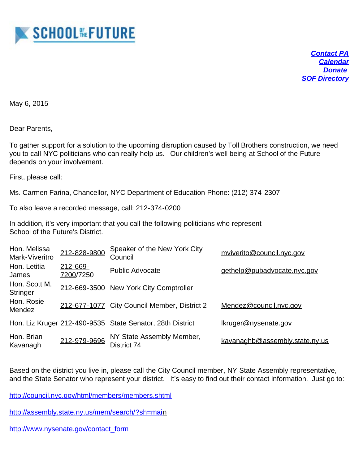

*[Contact PA](mailto:SOFParent@gmail.com) [Calendar](http://www.sof.edu/news-events/) [Donate](http://www.sof.edu/families/donate) [SOF Directory](http://www.sof.edu/about/contact-directory/)*

May 6, 2015

Dear Parents,

To gather support for a solution to the upcoming disruption caused by Toll Brothers construction, we need you to call NYC politicians who can really help us. Our children's well being at School of the Future depends on your involvement.

First, please call:

Ms. Carmen Farina, Chancellor, NYC Department of Education Phone: (212) 374-2307

To also leave a recorded message, call: 212-374-0200

In addition, it's very important that you call the following politicians who represent School of the Future's District.

| Hon. Melissa<br>Mark-Viveritro   | 212-828-9800          | Speaker of the New York City<br>Council                   | mviverito@council.nyc.gov      |
|----------------------------------|-----------------------|-----------------------------------------------------------|--------------------------------|
| Hon. Letitia<br>James            | 212-669-<br>7200/7250 | <b>Public Advocate</b>                                    | gethelp@pubadvocate.nyc.gov    |
| Hon. Scott M.<br><b>Stringer</b> |                       | 212-669-3500 New York City Comptroller                    |                                |
| Hon. Rosie<br>Mendez             |                       | 212-677-1077 City Council Member, District 2              | Mendez@council.nyc.gov         |
|                                  |                       | Hon. Liz Kruger 212-490-9535 State Senator, 28th District | Ikruger@nysenate.gov           |
| Hon. Brian<br>Kavanagh           | 212-979-9696          | NY State Assembly Member,<br>District 74                  | kavanaghb@assembly.state.ny.us |

Based on the district you live in, please call the City Council member, NY State Assembly representative, and the State Senator who represent your district. It's easy to find out their contact information. Just go to:

<http://council.nyc.gov/html/members/members.shtml>

[http://assembly.state.ny.us/mem/search/?sh=main](http://assembly.state.ny.us/mem/search/?sh=mai)

[http://www.nysenate.gov/contact\\_form](http://www.nysenate.gov/contact_form)